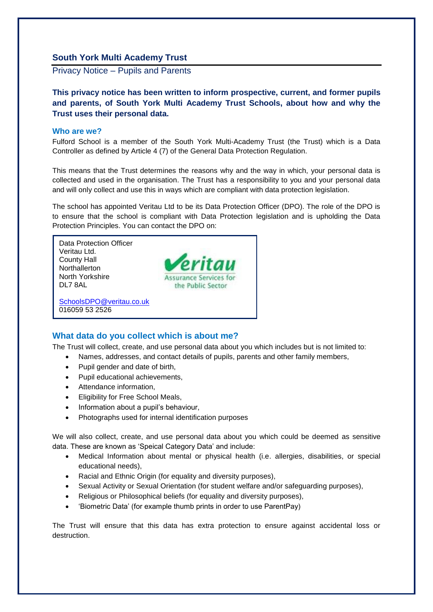# **South York Multi Academy Trust**

Privacy Notice – Pupils and Parents

**This privacy notice has been written to inform prospective, current, and former pupils and parents, of South York Multi Academy Trust Schools, about how and why the Trust uses their personal data.**

#### **Who are we?**

Fulford School is a member of the South York Multi-Academy Trust (the Trust) which is a Data Controller as defined by Article 4 (7) of the General Data Protection Regulation.

This means that the Trust determines the reasons why and the way in which, your personal data is collected and used in the organisation. The Trust has a responsibility to you and your personal data and will only collect and use this in ways which are compliant with data protection legislation.

The school has appointed Veritau Ltd to be its Data Protection Officer (DPO). The role of the DPO is to ensure that the school is compliant with Data Protection legislation and is upholding the Data Protection Principles. You can contact the DPO on:



# **What data do you collect which is about me?**

The Trust will collect, create, and use personal data about you which includes but is not limited to:

- Names, addresses, and contact details of pupils, parents and other family members,
- Pupil gender and date of birth,
- Pupil educational achievements,
- Attendance information,
- Eligibility for Free School Meals,
- Information about a pupil's behaviour,
- Photographs used for internal identification purposes

We will also collect, create, and use personal data about you which could be deemed as sensitive data. These are known as 'Speical Category Data' and include:

- Medical Information about mental or physical health (i.e. allergies, disabilities, or special educational needs),
- Racial and Ethnic Origin (for equality and diversity purposes),
- Sexual Activity or Sexual Orientation (for student welfare and/or safeguarding purposes),
- Religious or Philosophical beliefs (for equality and diversity purposes),
- 'Biometric Data' (for example thumb prints in order to use ParentPay)

The Trust will ensure that this data has extra protection to ensure against accidental loss or destruction.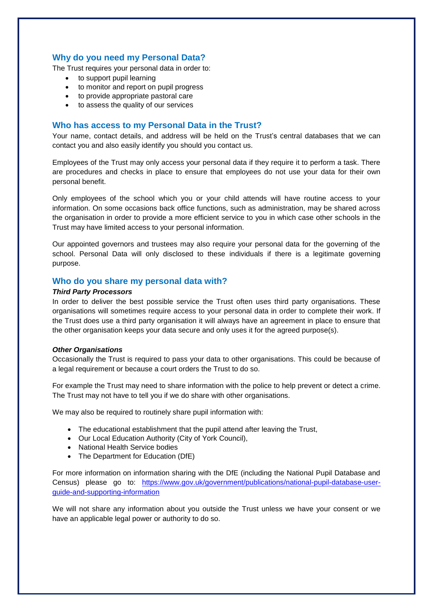# **Why do you need my Personal Data?**

The Trust requires your personal data in order to:

- to support pupil learning
- to monitor and report on pupil progress
- to provide appropriate pastoral care
- to assess the quality of our services

# **Who has access to my Personal Data in the Trust?**

Your name, contact details, and address will be held on the Trust's central databases that we can contact you and also easily identify you should you contact us.

Employees of the Trust may only access your personal data if they require it to perform a task. There are procedures and checks in place to ensure that employees do not use your data for their own personal benefit.

Only employees of the school which you or your child attends will have routine access to your information. On some occasions back office functions, such as administration, may be shared across the organisation in order to provide a more efficient service to you in which case other schools in the Trust may have limited access to your personal information.

Our appointed governors and trustees may also require your personal data for the governing of the school. Personal Data will only disclosed to these individuals if there is a legitimate governing purpose.

# **Who do you share my personal data with?**

#### *Third Party Processors*

In order to deliver the best possible service the Trust often uses third party organisations. These organisations will sometimes require access to your personal data in order to complete their work. If the Trust does use a third party organisation it will always have an agreement in place to ensure that the other organisation keeps your data secure and only uses it for the agreed purpose(s).

#### *Other Organisations*

Occasionally the Trust is required to pass your data to other organisations. This could be because of a legal requirement or because a court orders the Trust to do so.

For example the Trust may need to share information with the police to help prevent or detect a crime. The Trust may not have to tell you if we do share with other organisations.

We may also be required to routinely share pupil information with:

- The educational establishment that the pupil attend after leaving the Trust,
- Our Local Education Authority (City of York Council),
- National Health Service bodies
- The Department for Education (DfE)

For more information on information sharing with the DfE (including the National Pupil Database and Census) please go to: [https://www.gov.uk/government/publications/national-pupil-database-user](https://www.gov.uk/government/publications/national-pupil-database-user-guide-and-supporting-information)[guide-and-supporting-information](https://www.gov.uk/government/publications/national-pupil-database-user-guide-and-supporting-information)

We will not share any information about you outside the Trust unless we have your consent or we have an applicable legal power or authority to do so.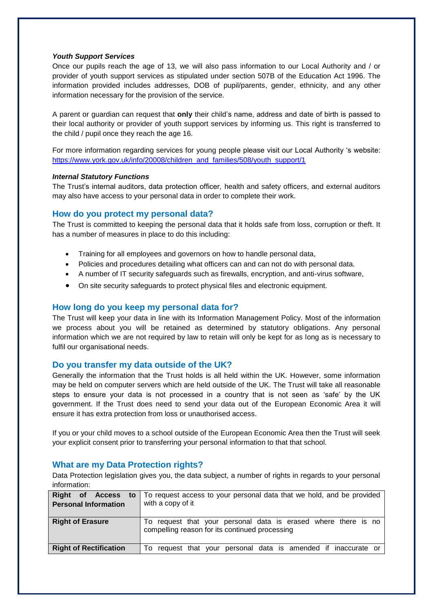#### *Youth Support Services*

Once our pupils reach the age of 13, we will also pass information to our Local Authority and / or provider of youth support services as stipulated under section 507B of the Education Act 1996. The information provided includes addresses, DOB of pupil/parents, gender, ethnicity, and any other information necessary for the provision of the service.

A parent or guardian can request that **only** their child's name, address and date of birth is passed to their local authority or provider of youth support services by informing us. This right is transferred to the child / pupil once they reach the age 16.

For more information regarding services for young people please visit our Local Authority 's website: [https://www.york.gov.uk/info/20008/children\\_and\\_families/508/youth\\_support/1](https://www.york.gov.uk/info/20008/children_and_families/508/youth_support/1)

#### *Internal Statutory Functions*

The Trust's internal auditors, data protection officer, health and safety officers, and external auditors may also have access to your personal data in order to complete their work.

# **How do you protect my personal data?**

The Trust is committed to keeping the personal data that it holds safe from loss, corruption or theft. It has a number of measures in place to do this including:

- Training for all employees and governors on how to handle personal data,
- Policies and procedures detailing what officers can and can not do with personal data.
- A number of IT security safeguards such as firewalls, encryption, and anti-virus software,
- On site security safeguards to protect physical files and electronic equipment.

# **How long do you keep my personal data for?**

The Trust will keep your data in line with its Information Management Policy. Most of the information we process about you will be retained as determined by statutory obligations. Any personal information which we are not required by law to retain will only be kept for as long as is necessary to fulfil our organisational needs.

# **Do you transfer my data outside of the UK?**

Generally the information that the Trust holds is all held within the UK. However, some information may be held on computer servers which are held outside of the UK. The Trust will take all reasonable steps to ensure your data is not processed in a country that is not seen as 'safe' by the UK government. If the Trust does need to send your data out of the European Economic Area it will ensure it has extra protection from loss or unauthorised access.

If you or your child moves to a school outside of the European Economic Area then the Trust will seek your explicit consent prior to transferring your personal information to that that school.

# **What are my Data Protection rights?**

Data Protection legislation gives you, the data subject, a number of rights in regards to your personal information:

| <b>Right</b><br>of Access<br>to<br><b>Personal Information</b> | To request access to your personal data that we hold, and be provided<br>with a copy of it                       |
|----------------------------------------------------------------|------------------------------------------------------------------------------------------------------------------|
| <b>Right of Erasure</b>                                        | To request that your personal data is erased where there is no<br>compelling reason for its continued processing |
| <b>Right of Rectification</b>                                  | request that your personal data is amended if inaccurate or<br>To                                                |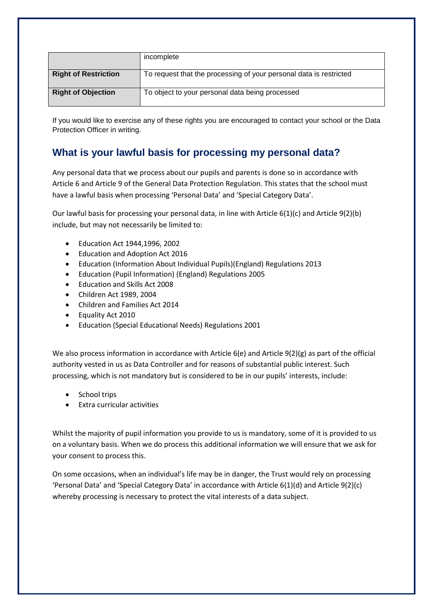|                             | incomplete                                                         |
|-----------------------------|--------------------------------------------------------------------|
| <b>Right of Restriction</b> | To request that the processing of your personal data is restricted |
| <b>Right of Objection</b>   | To object to your personal data being processed                    |

If you would like to exercise any of these rights you are encouraged to contact your school or the Data Protection Officer in writing.

# **What is your lawful basis for processing my personal data?**

Any personal data that we process about our pupils and parents is done so in accordance with Article 6 and Article 9 of the General Data Protection Regulation. This states that the school must have a lawful basis when processing 'Personal Data' and 'Special Category Data'.

Our lawful basis for processing your personal data, in line with Article 6(1)(c) and Article 9(2)(b) include, but may not necessarily be limited to:

- Education Act 1944,1996, 2002
- Education and Adoption Act 2016
- Education (Information About Individual Pupils)(England) Regulations 2013
- Education (Pupil Information) (England) Regulations 2005
- Education and Skills Act 2008
- Children Act 1989, 2004
- Children and Families Act 2014
- Equality Act 2010
- Education (Special Educational Needs) Regulations 2001

We also process information in accordance with Article 6(e) and Article 9(2)(g) as part of the official authority vested in us as Data Controller and for reasons of substantial public interest. Such processing, which is not mandatory but is considered to be in our pupils' interests, include:

- School trips
- Extra curricular activities

Whilst the majority of pupil information you provide to us is mandatory, some of it is provided to us on a voluntary basis. When we do process this additional information we will ensure that we ask for your consent to process this.

On some occasions, when an individual's life may be in danger, the Trust would rely on processing 'Personal Data' and 'Special Category Data' in accordance with Article 6(1)(d) and Article 9(2)(c) whereby processing is necessary to protect the vital interests of a data subject.